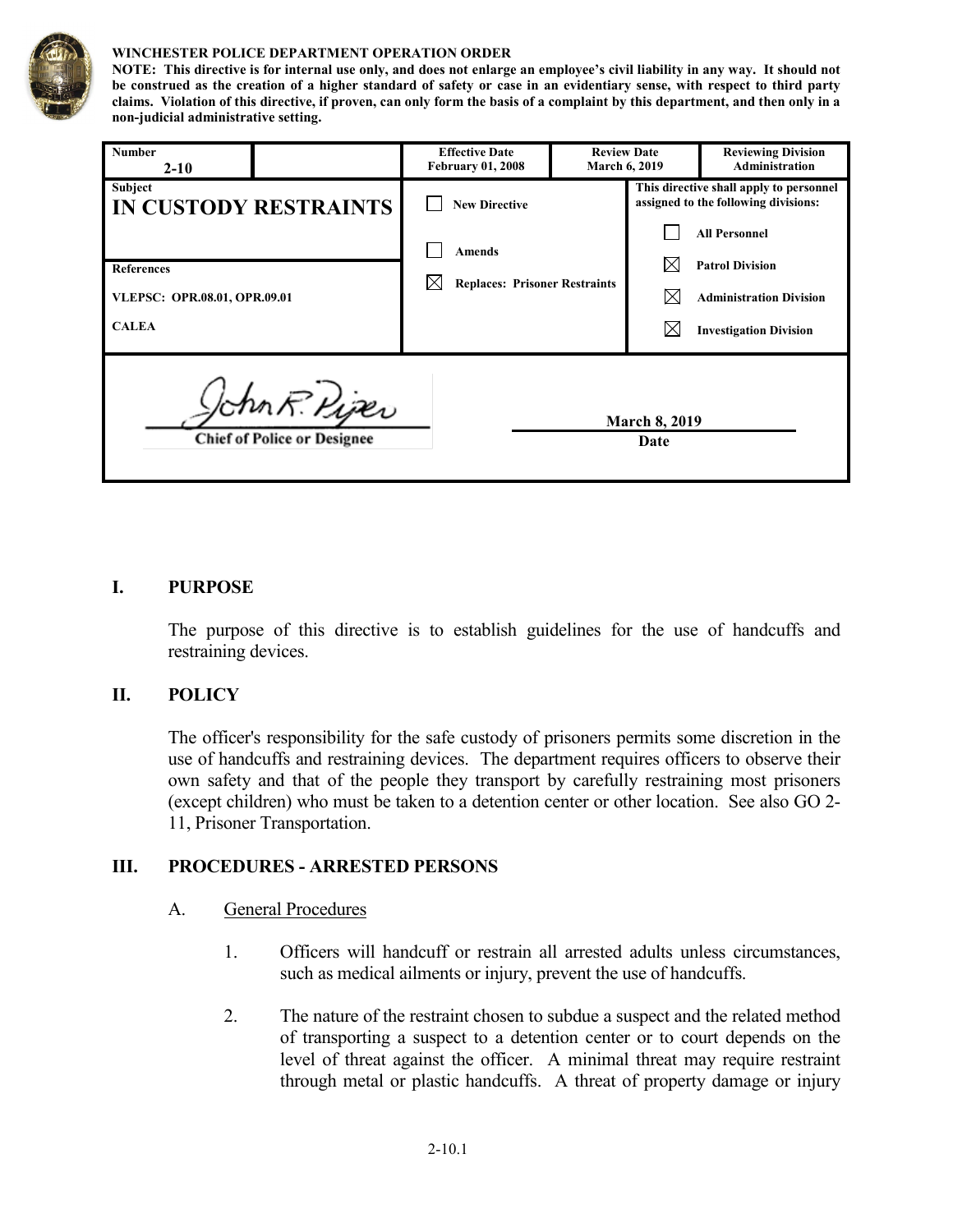

#### **WINCHESTER POLICE DEPARTMENT OPERATION ORDER**

**NOTE: This directive is for internal use only, and does not enlarge an employee's civil liability in any way. It should not be construed as the creation of a higher standard of safety or case in an evidentiary sense, with respect to third party claims. Violation of this directive, if proven, can only form the basis of a complaint by this department, and then only in a non-judicial administrative setting.**

| <b>Number</b><br>$2 - 10$                                                           | <b>Effective Date</b><br><b>February 01, 2008</b>                             | <b>Review Date</b><br><b>March 6, 2019</b> |  | <b>Reviewing Division</b><br>Administration                                                                                       |
|-------------------------------------------------------------------------------------|-------------------------------------------------------------------------------|--------------------------------------------|--|-----------------------------------------------------------------------------------------------------------------------------------|
| <b>Subject</b><br><b>IN CUSTODY RESTRAINTS</b><br><b>References</b>                 | <b>New Directive</b><br><b>Amends</b><br><b>Replaces: Prisoner Restraints</b> |                                            |  | This directive shall apply to personnel<br>assigned to the following divisions:<br><b>All Personnel</b><br><b>Patrol Division</b> |
| VLEPSC: OPR.08.01, OPR.09.01<br><b>CALEA</b>                                        |                                                                               |                                            |  | <b>Administration Division</b><br><b>Investigation Division</b>                                                                   |
| John R. Piper<br><b>March 8, 2019</b><br><b>Chief of Police or Designee</b><br>Date |                                                                               |                                            |  |                                                                                                                                   |

### **I. PURPOSE**

The purpose of this directive is to establish guidelines for the use of handcuffs and restraining devices.

#### **II. POLICY**

The officer's responsibility for the safe custody of prisoners permits some discretion in the use of handcuffs and restraining devices. The department requires officers to observe their own safety and that of the people they transport by carefully restraining most prisoners (except children) who must be taken to a detention center or other location. See also GO 2- 11, Prisoner Transportation.

## **III. PROCEDURES - ARRESTED PERSONS**

#### A. General Procedures

- 1. Officers will handcuff or restrain all arrested adults unless circumstances, such as medical ailments or injury, prevent the use of handcuffs.
- 2. The nature of the restraint chosen to subdue a suspect and the related method of transporting a suspect to a detention center or to court depends on the level of threat against the officer. A minimal threat may require restraint through metal or plastic handcuffs. A threat of property damage or injury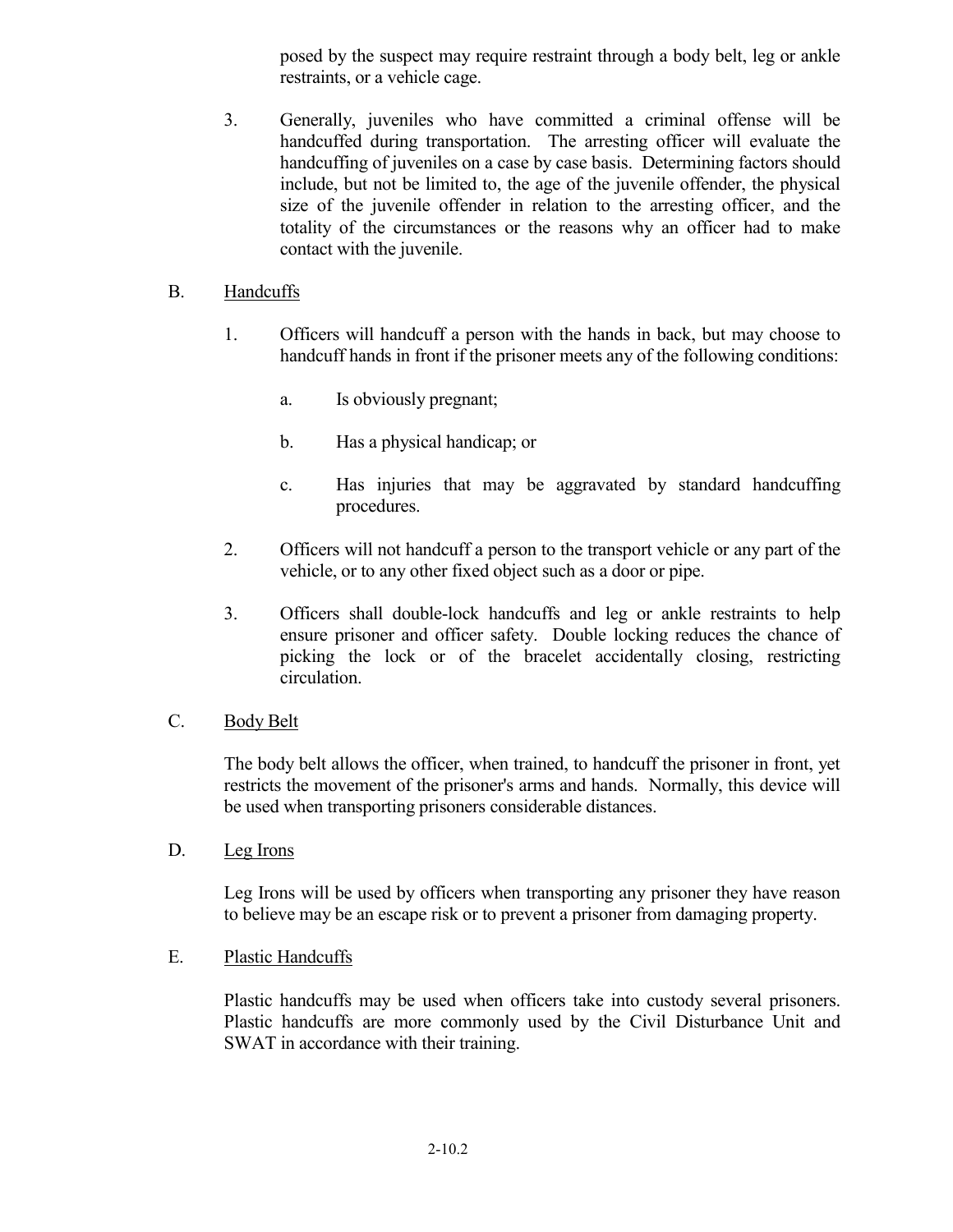posed by the suspect may require restraint through a body belt, leg or ankle restraints, or a vehicle cage.

3. Generally, juveniles who have committed a criminal offense will be handcuffed during transportation. The arresting officer will evaluate the handcuffing of juveniles on a case by case basis. Determining factors should include, but not be limited to, the age of the juvenile offender, the physical size of the juvenile offender in relation to the arresting officer, and the totality of the circumstances or the reasons why an officer had to make contact with the juvenile.

## B. Handcuffs

- 1. Officers will handcuff a person with the hands in back, but may choose to handcuff hands in front if the prisoner meets any of the following conditions:
	- a. Is obviously pregnant;
	- b. Has a physical handicap; or
	- c. Has injuries that may be aggravated by standard handcuffing procedures.
- 2. Officers will not handcuff a person to the transport vehicle or any part of the vehicle, or to any other fixed object such as a door or pipe.
- 3. Officers shall double-lock handcuffs and leg or ankle restraints to help ensure prisoner and officer safety. Double locking reduces the chance of picking the lock or of the bracelet accidentally closing, restricting circulation.

## C. Body Belt

The body belt allows the officer, when trained, to handcuff the prisoner in front, yet restricts the movement of the prisoner's arms and hands. Normally, this device will be used when transporting prisoners considerable distances.

D. Leg Irons

Leg Irons will be used by officers when transporting any prisoner they have reason to believe may be an escape risk or to prevent a prisoner from damaging property.

### E. Plastic Handcuffs

Plastic handcuffs may be used when officers take into custody several prisoners. Plastic handcuffs are more commonly used by the Civil Disturbance Unit and SWAT in accordance with their training.